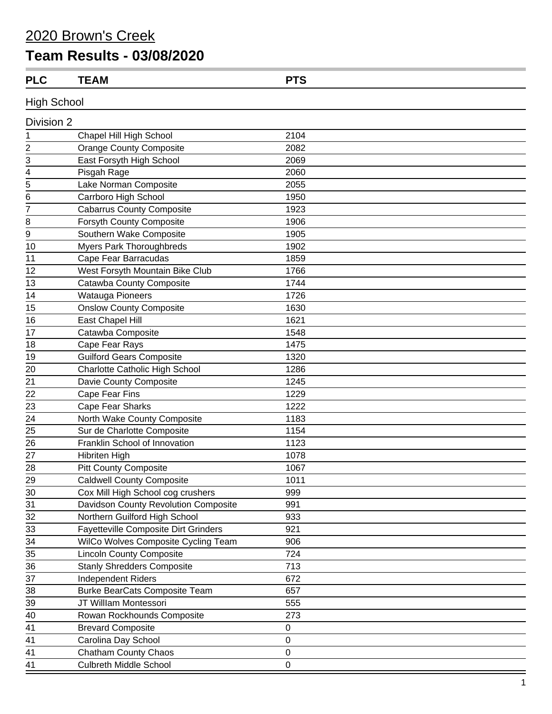## 2020 Brown's Creek

## **Team Results - 03/08/2020**

| <b>PLC</b> | <b>TEAM</b> | <b>DTC</b> |  |
|------------|-------------|------------|--|
| .          |             |            |  |

**High School** 

| Division 2     |                                             |                  |
|----------------|---------------------------------------------|------------------|
| 1              | Chapel Hill High School                     | 2104             |
| $\overline{c}$ | <b>Orange County Composite</b>              | 2082             |
| 3              | East Forsyth High School                    | 2069             |
| $\overline{4}$ | Pisgah Rage                                 | 2060             |
| 5              | Lake Norman Composite                       | 2055             |
| 6              | Carrboro High School                        | 1950             |
| 7              | <b>Cabarrus County Composite</b>            | 1923             |
| 8              | <b>Forsyth County Composite</b>             | 1906             |
| 9              | Southern Wake Composite                     | 1905             |
| 10             | <b>Myers Park Thoroughbreds</b>             | 1902             |
| 11             | Cape Fear Barracudas                        | 1859             |
| 12             | West Forsyth Mountain Bike Club             | 1766             |
| 13             | Catawba County Composite                    | 1744             |
| 14             | <b>Watauga Pioneers</b>                     | 1726             |
| 15             | <b>Onslow County Composite</b>              | 1630             |
| 16             | East Chapel Hill                            | 1621             |
| 17             | Catawba Composite                           | 1548             |
| 18             | Cape Fear Rays                              | 1475             |
| 19             | <b>Guilford Gears Composite</b>             | 1320             |
| 20             | Charlotte Catholic High School              | 1286             |
| 21             | Davie County Composite                      | 1245             |
| 22             | Cape Fear Fins                              | 1229             |
| 23             | Cape Fear Sharks                            | 1222             |
| 24             | North Wake County Composite                 | 1183             |
| 25             | Sur de Charlotte Composite                  | 1154             |
| 26             | Franklin School of Innovation               | 1123             |
| 27             | Hibriten High                               | 1078             |
| 28             | <b>Pitt County Composite</b>                | 1067             |
| 29             | <b>Caldwell County Composite</b>            | 1011             |
| 30             | Cox Mill High School cog crushers           | 999              |
| 31             | Davidson County Revolution Composite        | 991              |
| 32             | Northern Guilford High School               | 933              |
| 33             | <b>Fayetteville Composite Dirt Grinders</b> | 921              |
| 34             | WilCo Wolves Composite Cycling Team         | 906              |
| 35             | <b>Lincoln County Composite</b>             | 724              |
| 36             | <b>Stanly Shredders Composite</b>           | 713              |
| 37             | <b>Independent Riders</b>                   | 672              |
| 38             | <b>Burke BearCats Composite Team</b>        | 657              |
| 39             | JT Willlam Montessori                       | 555              |
| 40             | Rowan Rockhounds Composite                  | 273              |
| 41             | <b>Brevard Composite</b>                    | 0                |
| 41             | Carolina Day School                         | $\mathbf 0$      |
| 41             | <b>Chatham County Chaos</b>                 | 0                |
| 41             | <b>Culbreth Middle School</b>               | $\boldsymbol{0}$ |
|                |                                             |                  |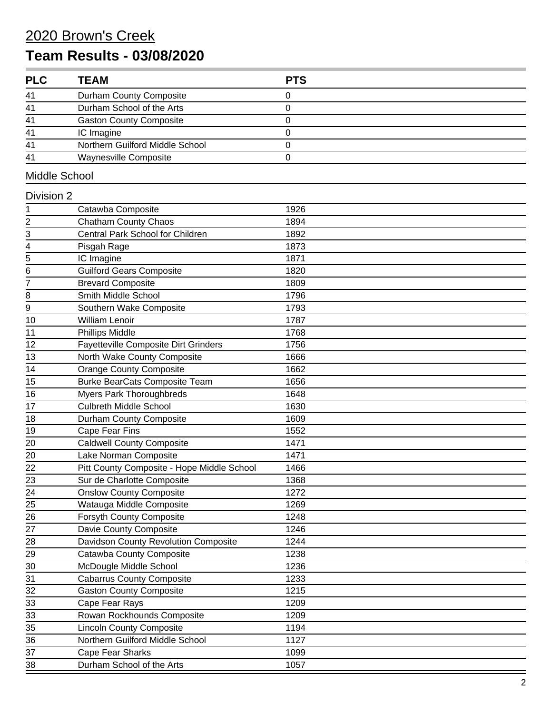## 2020 Brown's Creek **Team Results - 03/08/2020**

| <b>PLC</b>              | <b>TEAM</b>                                 | <b>PTS</b> |
|-------------------------|---------------------------------------------|------------|
| 41                      | Durham County Composite                     | 0          |
| 41                      | Durham School of the Arts                   | 0          |
| 41                      | <b>Gaston County Composite</b>              | 0          |
| 41                      | IC Imagine                                  | 0          |
| 41                      | Northern Guilford Middle School             | 0          |
| 41                      | Waynesville Composite                       | 0          |
| Middle School           |                                             |            |
| Division 2              |                                             |            |
| 1                       | Catawba Composite                           | 1926       |
| $\overline{\mathbf{c}}$ | <b>Chatham County Chaos</b>                 | 1894       |
| 3                       | Central Park School for Children            | 1892       |
| 4                       | Pisgah Rage                                 | 1873       |
| 5                       | IC Imagine                                  | 1871       |
| 6                       | <b>Guilford Gears Composite</b>             | 1820       |
| 7                       | <b>Brevard Composite</b>                    | 1809       |
| 8                       | Smith Middle School                         | 1796       |
| 9                       | Southern Wake Composite                     | 1793       |
| 10                      | <b>William Lenoir</b>                       | 1787       |
| 11                      | Phillips Middle                             | 1768       |
| 12                      | <b>Fayetteville Composite Dirt Grinders</b> | 1756       |
| 13                      | North Wake County Composite                 | 1666       |
| 14                      | <b>Orange County Composite</b>              | 1662       |
| 15                      | <b>Burke BearCats Composite Team</b>        | 1656       |
| 16                      | <b>Myers Park Thoroughbreds</b>             | 1648       |
| 17                      | <b>Culbreth Middle School</b>               | 1630       |
| 18                      | Durham County Composite                     | 1609       |
| 19                      | Cape Fear Fins                              | 1552       |
| 20                      | <b>Caldwell County Composite</b>            | 1471       |
| 20                      | Lake Norman Composite                       | 1471       |
| 22                      | Pitt County Composite - Hope Middle School  | 1466       |
| 23                      | Sur de Charlotte Composite                  | 1368       |
| 24                      | <b>Onslow County Composite</b>              | 1272       |
| 25                      | Watauga Middle Composite                    | 1269       |
| 26                      | <b>Forsyth County Composite</b>             | 1248       |
| $\overline{27}$         | Davie County Composite                      | 1246       |
| 28                      | Davidson County Revolution Composite        | 1244       |
| 29                      | Catawba County Composite                    | 1238       |
| 30                      | McDougle Middle School                      | 1236       |
| 31                      | <b>Cabarrus County Composite</b>            | 1233       |
| 32                      | <b>Gaston County Composite</b>              | 1215       |
| 33                      | Cape Fear Rays                              | 1209       |
| 33                      | Rowan Rockhounds Composite                  | 1209       |
| 35                      | <b>Lincoln County Composite</b>             | 1194       |
| 36                      | Northern Guilford Middle School             | 1127       |
| 37                      | Cape Fear Sharks                            | 1099       |
| 38                      | Durham School of the Arts                   | 1057       |